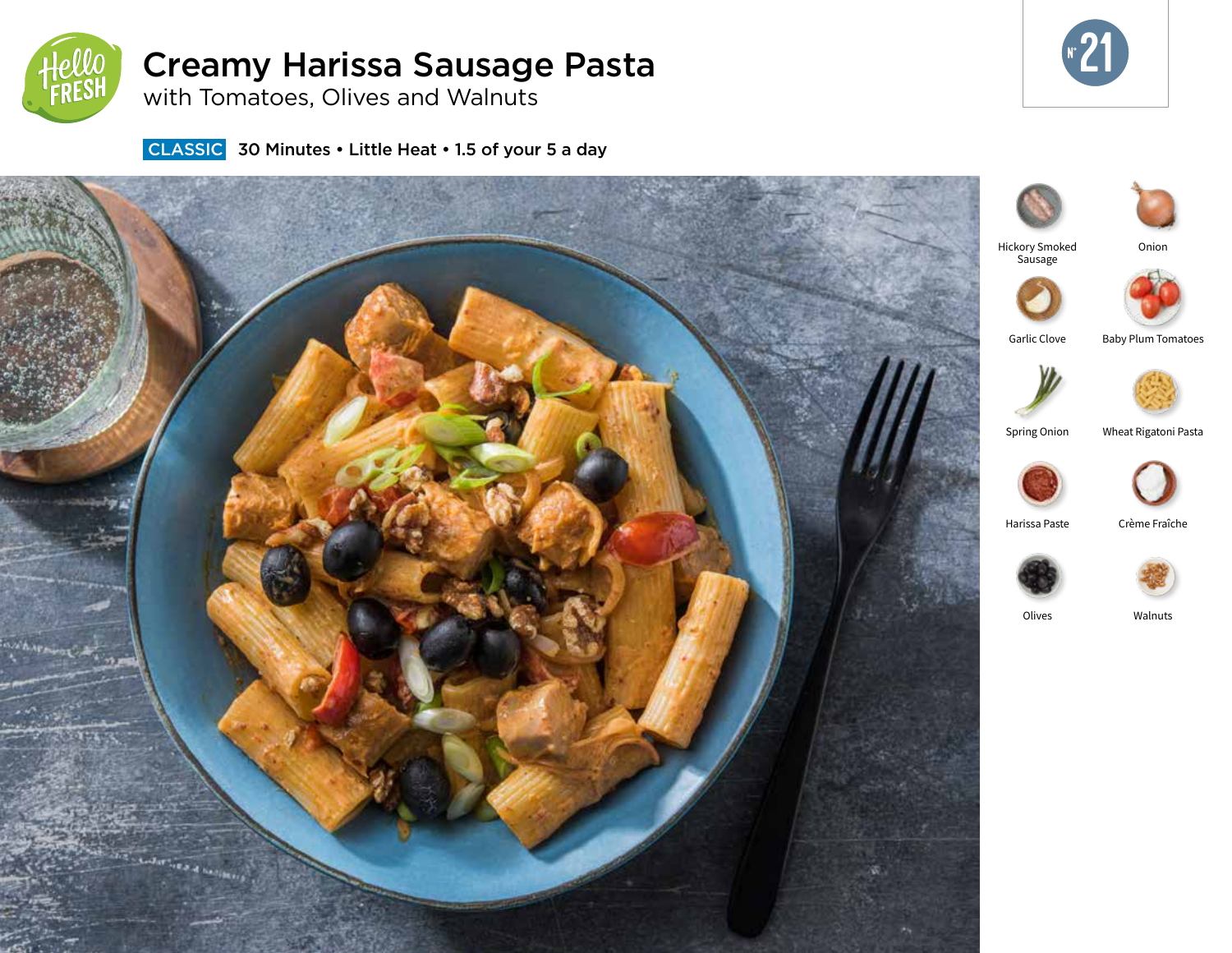

# Creamy Harissa Sausage Pasta

with Tomatoes, Olives and Walnuts



**CLASSIC** 30 Minutes • Little Heat • 1.5 of your 5 a day